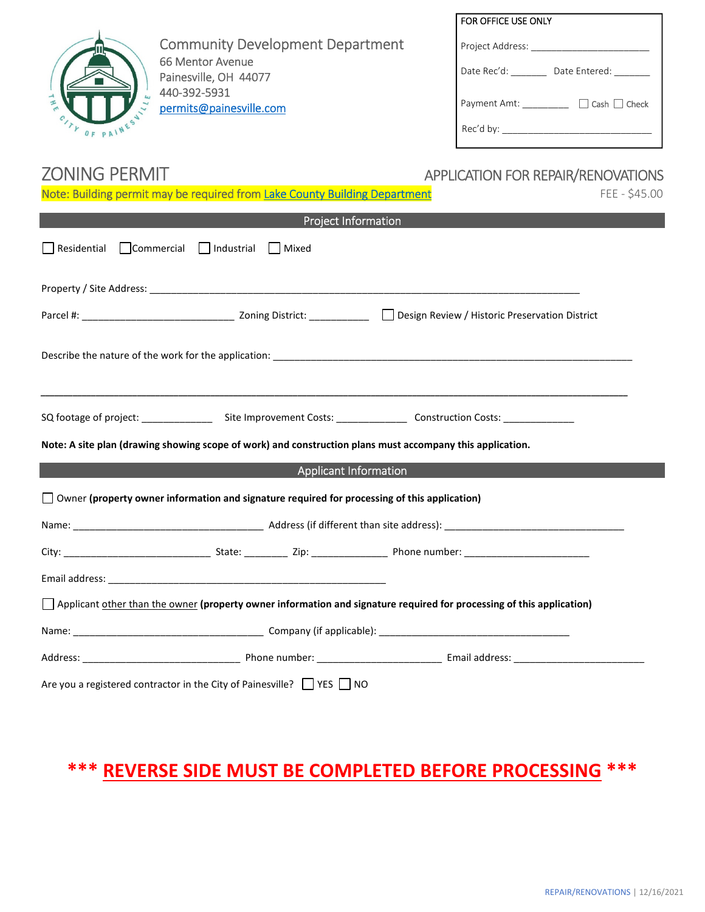

Community Development Department 66 Mentor Avenue Painesville, OH 44077 440-392-5931 permits@painesville.com

# FOR OFFICE USE ONLY Project Address: \_\_\_\_\_ Date Rec'd: \_\_\_\_\_\_\_\_ Date Entered: \_\_\_\_\_\_ Payment Amt: \_\_\_\_\_\_\_\_\_\_ □ Cash □ Check Rec'd by: \_\_\_\_\_\_\_\_\_\_\_\_\_\_\_\_\_\_\_\_\_\_\_\_\_\_\_\_\_

### ZONING PERMIT

|                    | Note: Building permit may be required from Lake County Building Department                          |                                                                                                                                   | FEE - \$45.00 |
|--------------------|-----------------------------------------------------------------------------------------------------|-----------------------------------------------------------------------------------------------------------------------------------|---------------|
|                    | <b>Project Information</b>                                                                          |                                                                                                                                   |               |
| $\Box$ Residential | $\Box$ Commercial $\Box$ Industrial $\Box$ Mixed                                                    |                                                                                                                                   |               |
|                    |                                                                                                     |                                                                                                                                   |               |
|                    |                                                                                                     |                                                                                                                                   |               |
|                    |                                                                                                     |                                                                                                                                   |               |
|                    |                                                                                                     | SQ footage of project: ___________________Site Improvement Costs: __________________Construction Costs: _________________________ |               |
|                    |                                                                                                     | Note: A site plan (drawing showing scope of work) and construction plans must accompany this application.                         |               |
|                    | <b>Applicant Information</b>                                                                        |                                                                                                                                   |               |
|                    | $\Box$ Owner (property owner information and signature required for processing of this application) |                                                                                                                                   |               |
|                    |                                                                                                     |                                                                                                                                   |               |
|                    |                                                                                                     |                                                                                                                                   |               |
|                    |                                                                                                     |                                                                                                                                   |               |
|                    |                                                                                                     | Applicant other than the owner (property owner information and signature required for processing of this application)             |               |
|                    |                                                                                                     |                                                                                                                                   |               |
|                    |                                                                                                     |                                                                                                                                   |               |
|                    | Are you a registered contractor in the City of Painesville? TVES NO                                 |                                                                                                                                   |               |

## **\*\*\* REVERSE SIDE MUST BE COMPLETED BEFORE PROCESSING \*\*\***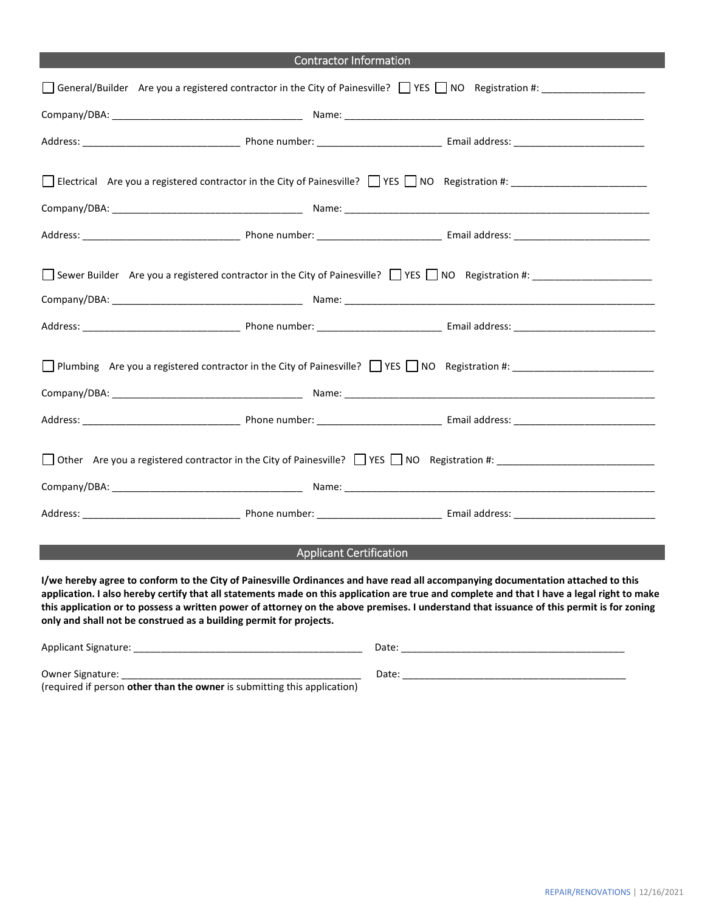| <b>Contractor Information</b>                                                                                                                                                        |  |  |  |  |
|--------------------------------------------------------------------------------------------------------------------------------------------------------------------------------------|--|--|--|--|
| General/Builder Are you a registered contractor in the City of Painesville? TYES NO Registration #: ________________                                                                 |  |  |  |  |
|                                                                                                                                                                                      |  |  |  |  |
|                                                                                                                                                                                      |  |  |  |  |
| Electrical Are you a registered contractor in the City of Painesville? TYES NO Registration #: The You are registered contractor in the City of Painesville? TYES NO Registration #: |  |  |  |  |
|                                                                                                                                                                                      |  |  |  |  |
|                                                                                                                                                                                      |  |  |  |  |
| Sewer Builder Are you a registered contractor in the City of Painesville? THES THO Registration #:                                                                                   |  |  |  |  |
|                                                                                                                                                                                      |  |  |  |  |
| □ Plumbing Are you a registered contractor in the City of Painesville? □ YES □ NO Registration #:                                                                                    |  |  |  |  |
|                                                                                                                                                                                      |  |  |  |  |
| □ Other Are you a registered contractor in the City of Painesville? □ YES □ NO Registration #:                                                                                       |  |  |  |  |
|                                                                                                                                                                                      |  |  |  |  |

#### Applicant Certification

**I/we hereby agree to conform to the City of Painesville Ordinances and have read all accompanying documentation attached to this application. I also hereby certify that all statements made on this application are true and complete and that I have a legal right to make this application or to possess a written power of attorney on the above premises. I understand that issuance of this permit is for zoning only and shall not be construed as a building permit for projects.** 

| Applicant Signature:                                                            | Date. |
|---------------------------------------------------------------------------------|-------|
| Owner Signature:                                                                | Date: |
| (required if person <b>other than the owner</b> is submitting this application) |       |